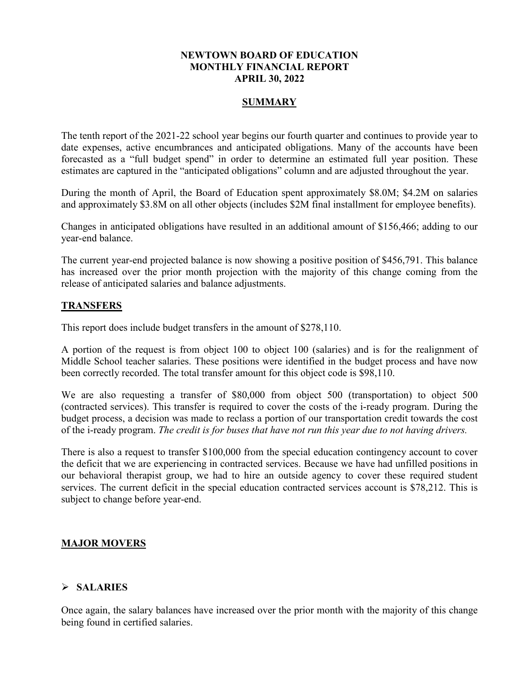#### **NEWTOWN BOARD OF EDUCATION MONTHLY FINANCIAL REPORT APRIL 30, 2022**

## **SUMMARY**

The tenth report of the 2021-22 school year begins our fourth quarter and continues to provide year to date expenses, active encumbrances and anticipated obligations. Many of the accounts have been forecasted as a "full budget spend" in order to determine an estimated full year position. These estimates are captured in the "anticipated obligations" column and are adjusted throughout the year.

During the month of April, the Board of Education spent approximately \$8.0M; \$4.2M on salaries and approximately \$3.8M on all other objects (includes \$2M final installment for employee benefits).

Changes in anticipated obligations have resulted in an additional amount of \$156,466; adding to our year-end balance.

The current year-end projected balance is now showing a positive position of \$456,791. This balance has increased over the prior month projection with the majority of this change coming from the release of anticipated salaries and balance adjustments.

## **TRANSFERS**

This report does include budget transfers in the amount of \$278,110.

A portion of the request is from object 100 to object 100 (salaries) and is for the realignment of Middle School teacher salaries. These positions were identified in the budget process and have now been correctly recorded. The total transfer amount for this object code is \$98,110.

We are also requesting a transfer of \$80,000 from object 500 (transportation) to object 500 (contracted services). This transfer is required to cover the costs of the i-ready program. During the budget process, a decision was made to reclass a portion of our transportation credit towards the cost of the i-ready program. *The credit is for buses that have not run this year due to not having drivers.*

There is also a request to transfer \$100,000 from the special education contingency account to cover the deficit that we are experiencing in contracted services. Because we have had unfilled positions in our behavioral therapist group, we had to hire an outside agency to cover these required student services. The current deficit in the special education contracted services account is \$78,212. This is subject to change before year-end.

# **MAJOR MOVERS**

#### **SALARIES**

Once again, the salary balances have increased over the prior month with the majority of this change being found in certified salaries.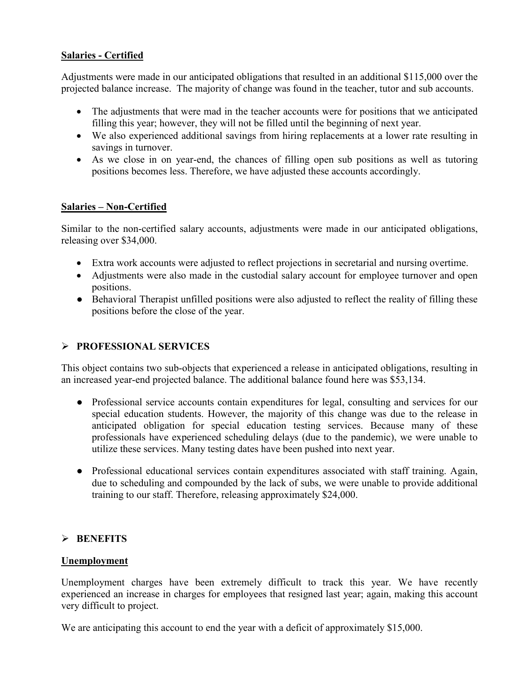# **Salaries - Certified**

Adjustments were made in our anticipated obligations that resulted in an additional \$115,000 over the projected balance increase. The majority of change was found in the teacher, tutor and sub accounts.

- The adjustments that were mad in the teacher accounts were for positions that we anticipated filling this year; however, they will not be filled until the beginning of next year.
- We also experienced additional savings from hiring replacements at a lower rate resulting in savings in turnover.
- As we close in on year-end, the chances of filling open sub positions as well as tutoring positions becomes less. Therefore, we have adjusted these accounts accordingly.

# **Salaries – Non-Certified**

Similar to the non-certified salary accounts, adjustments were made in our anticipated obligations, releasing over \$34,000.

- Extra work accounts were adjusted to reflect projections in secretarial and nursing overtime.
- Adjustments were also made in the custodial salary account for employee turnover and open positions.
- Behavioral Therapist unfilled positions were also adjusted to reflect the reality of filling these positions before the close of the year.

# **PROFESSIONAL SERVICES**

This object contains two sub-objects that experienced a release in anticipated obligations, resulting in an increased year-end projected balance. The additional balance found here was \$53,134.

- Professional service accounts contain expenditures for legal, consulting and services for our special education students. However, the majority of this change was due to the release in anticipated obligation for special education testing services. Because many of these professionals have experienced scheduling delays (due to the pandemic), we were unable to utilize these services. Many testing dates have been pushed into next year.
- Professional educational services contain expenditures associated with staff training. Again, due to scheduling and compounded by the lack of subs, we were unable to provide additional training to our staff. Therefore, releasing approximately \$24,000.

# **BENEFITS**

# **Unemployment**

Unemployment charges have been extremely difficult to track this year. We have recently experienced an increase in charges for employees that resigned last year; again, making this account very difficult to project.

We are anticipating this account to end the year with a deficit of approximately \$15,000.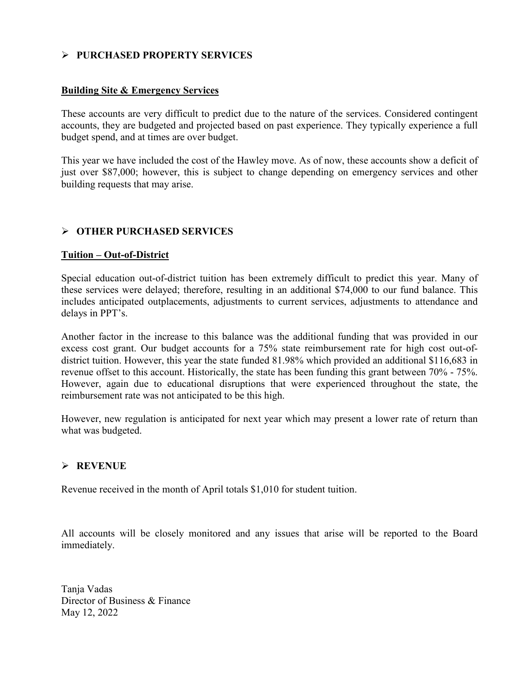## **PURCHASED PROPERTY SERVICES**

#### **Building Site & Emergency Services**

These accounts are very difficult to predict due to the nature of the services. Considered contingent accounts, they are budgeted and projected based on past experience. They typically experience a full budget spend, and at times are over budget.

This year we have included the cost of the Hawley move. As of now, these accounts show a deficit of just over \$87,000; however, this is subject to change depending on emergency services and other building requests that may arise.

# **OTHER PURCHASED SERVICES**

#### **Tuition – Out-of-District**

Special education out-of-district tuition has been extremely difficult to predict this year. Many of these services were delayed; therefore, resulting in an additional \$74,000 to our fund balance. This includes anticipated outplacements, adjustments to current services, adjustments to attendance and delays in PPT's.

Another factor in the increase to this balance was the additional funding that was provided in our excess cost grant. Our budget accounts for a 75% state reimbursement rate for high cost out-ofdistrict tuition. However, this year the state funded 81.98% which provided an additional \$116,683 in revenue offset to this account. Historically, the state has been funding this grant between 70% - 75%. However, again due to educational disruptions that were experienced throughout the state, the reimbursement rate was not anticipated to be this high.

However, new regulation is anticipated for next year which may present a lower rate of return than what was budgeted.

#### **REVENUE**

Revenue received in the month of April totals \$1,010 for student tuition.

All accounts will be closely monitored and any issues that arise will be reported to the Board immediately.

Tanja Vadas Director of Business & Finance May 12, 2022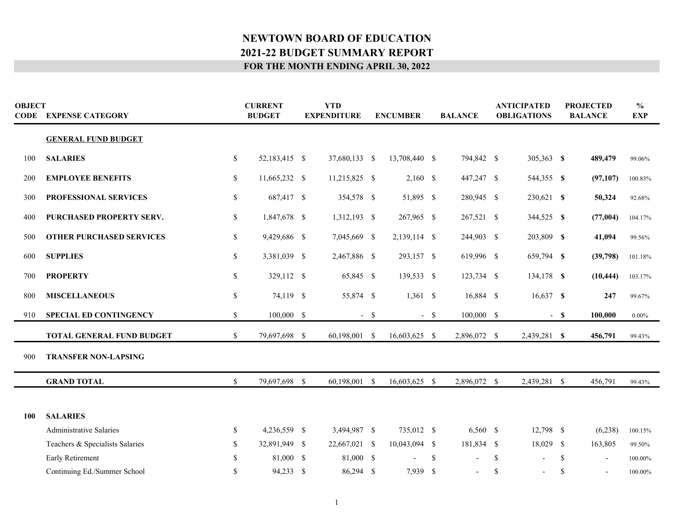| <b>OBJECT</b> | <b>CODE EXPENSE CATEGORY</b>     |               | <b>CURRENT</b><br><b>BUDGET</b> |  | <b>YTD</b><br><b>EXPENDITURE</b> |        | <b>ENCUMBER</b> |               | <b>BALANCE</b> |               | <b>ANTICIPATED</b><br><b>OBLIGATIONS</b> |               | <b>PROJECTED</b><br><b>BALANCE</b> | $\frac{6}{9}$<br><b>EXP</b> |
|---------------|----------------------------------|---------------|---------------------------------|--|----------------------------------|--------|-----------------|---------------|----------------|---------------|------------------------------------------|---------------|------------------------------------|-----------------------------|
|               | <b>GENERAL FUND BUDGET</b>       |               |                                 |  |                                  |        |                 |               |                |               |                                          |               |                                    |                             |
| 100           | <b>SALARIES</b>                  | \$            | 52,183,415 \$                   |  | 37,680,133 \$                    |        | 13,708,440 \$   |               | 794,842 \$     |               | 305,363 \$                               |               | 489,479                            | 99.06%                      |
| 200           | <b>EMPLOYEE BENEFITS</b>         | \$            | 11,665,232 \$                   |  | 11,215,825 \$                    |        | $2,160$ \$      |               | 447,247 \$     |               | 544,355 \$                               |               | (97, 107)                          | 100.83%                     |
| 300           | PROFESSIONAL SERVICES            | \$            | 687,417 \$                      |  | 354,578 \$                       |        | 51,895 \$       |               | 280,945 \$     |               | 230,621 \$                               |               | 50,324                             | 92.68%                      |
| 400           | PURCHASED PROPERTY SERV.         | <sup>\$</sup> | 1,847,678 \$                    |  | 1,312,193 \$                     |        | 267,965 \$      |               | 267,521 \$     |               | 344,525 \$                               |               | (77,004)                           | 104.17%                     |
| 500           | <b>OTHER PURCHASED SERVICES</b>  | S.            | 9,429,686 \$                    |  | 7,045,669 \$                     |        | 2,139,114 \$    |               | 244,903 \$     |               | 203,809 \$                               |               | 41,094                             | 99.56%                      |
| 600           | <b>SUPPLIES</b>                  | <sup>\$</sup> | 3,381,039 \$                    |  | 2,467,886 \$                     |        | 293,157 \$      |               | 619,996 \$     |               | 659,794 \$                               |               | (39,798)                           | 101.18%                     |
| 700           | <b>PROPERTY</b>                  | $\mathbf S$   | 329,112 \$                      |  | 65,845 \$                        |        | 139,533 \$      |               | 123,734 \$     |               | 134,178 \$                               |               | (10, 444)                          | 103.17%                     |
| 800           | <b>MISCELLANEOUS</b>             | <sup>\$</sup> | 74,119 \$                       |  | 55,874 \$                        |        | $1,361$ \$      |               | 16,884 \$      |               | 16,637 \$                                |               | 247                                | 99.67%                      |
| 910           | <b>SPECIAL ED CONTINGENCY</b>    | $\mathbf S$   | 100,000 \$                      |  |                                  | $-$ \$ |                 | $-$ \$        | 100,000 \$     |               |                                          | $-$ \$        | 100,000                            | $0.00\%$                    |
|               | <b>TOTAL GENERAL FUND BUDGET</b> | $\mathbb{S}$  | 79,697,698 \$                   |  | 60,198,001 \$                    |        | 16,603,625 \$   |               | 2,896,072 \$   |               | 2,439,281 \$                             |               | 456,791                            | 99.43%                      |
| 900           | <b>TRANSFER NON-LAPSING</b>      |               |                                 |  |                                  |        |                 |               |                |               |                                          |               |                                    |                             |
|               | <b>GRAND TOTAL</b>               | <sup>\$</sup> | 79,697,698 \$                   |  | 60,198,001 \$                    |        | 16,603,625 \$   |               | 2,896,072 \$   |               | 2,439,281 \$                             |               | 456,791                            | 99.43%                      |
|               |                                  |               |                                 |  |                                  |        |                 |               |                |               |                                          |               |                                    |                             |
| 100           | <b>SALARIES</b>                  |               |                                 |  |                                  |        |                 |               |                |               |                                          |               |                                    |                             |
|               | <b>Administrative Salaries</b>   | \$            | 4,236,559 \$                    |  | 3,494,987 \$                     |        | 735,012 \$      |               | 6,560 \$       |               | 12,798 \$                                |               | (6,238)                            | 100.15%                     |
|               | Teachers & Specialists Salaries  | \$.           | 32,891,949 \$                   |  | 22,667,021 \$                    |        | 10,043,094 \$   |               | 181,834 \$     |               | 18,029 \$                                |               | 163,805                            | 99.50%                      |
|               | Early Retirement                 | -S            | 81,000 \$                       |  | 81,000 \$                        |        |                 | <sup>\$</sup> |                | $\mathcal{S}$ |                                          | <sup>\$</sup> |                                    | 100.00%                     |
|               | Continuing Ed./Summer School     | <sup>\$</sup> | 94,233 \$                       |  | 86,294 \$                        |        | 7,939           | - \$          |                | \$            |                                          | \$            |                                    | 100.00%                     |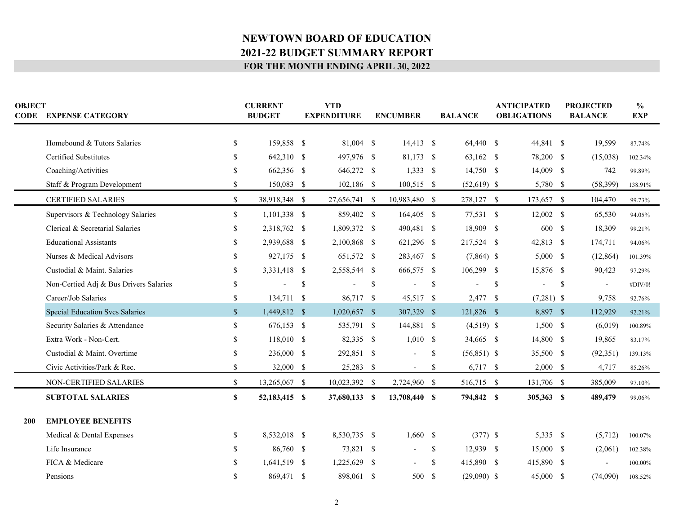|     | <b>OBJECT</b><br><b>CODE EXPENSE CATEGORY</b> |               | <b>CURRENT</b><br><b>BUDGET</b> | <b>YTD</b><br><b>EXPENDITURE</b> |                | <b>ENCUMBER</b>          |               | <b>BALANCE</b> | <b>ANTICIPATED</b><br><b>OBLIGATIONS</b> |              | <b>PROJECTED</b><br><b>BALANCE</b> |                          | $\frac{0}{0}$<br><b>EXP</b> |
|-----|-----------------------------------------------|---------------|---------------------------------|----------------------------------|----------------|--------------------------|---------------|----------------|------------------------------------------|--------------|------------------------------------|--------------------------|-----------------------------|
|     | Homebound & Tutors Salaries                   | \$            | 159,858 \$                      |                                  | 81,004 \$      | $14,413$ \$              |               | 64,440 \$      |                                          | 44,841 \$    |                                    | 19,599                   | 87.74%                      |
|     | <b>Certified Substitutes</b>                  | S             | 642,310 \$                      |                                  | 497,976 \$     | 81,173 \$                |               | 63,162 \$      |                                          | 78,200 \$    |                                    | (15,038)                 | 102.34%                     |
|     | Coaching/Activities                           | \$.           | 662,356 \$                      |                                  | 646,272 \$     | $1,333$ \$               |               | $14,750$ \$    |                                          | 14,009 \$    |                                    | 742                      | 99.89%                      |
|     | Staff & Program Development                   | <sup>\$</sup> | 150,083 \$                      |                                  | 102,186 \$     | 100,515 \$               |               | $(52,619)$ \$  |                                          | 5,780 \$     |                                    | (58, 399)                | 138.91%                     |
|     | <b>CERTIFIED SALARIES</b>                     | $\mathbb{S}$  | 38,918,348 \$                   |                                  | 27,656,741 \$  | 10,983,480 \$            |               | 278,127 \$     |                                          | 173,657 \$   |                                    | 104,470                  | 99.73%                      |
|     | Supervisors & Technology Salaries             | $\mathbb{S}$  | $1,101,338$ \$                  |                                  | 859,402 \$     | 164,405 \$               |               | 77,531 \$      |                                          | $12,002$ \$  |                                    | 65,530                   | 94.05%                      |
|     | Clerical & Secretarial Salaries               | <sup>\$</sup> | 2,318,762 \$                    |                                  | 1,809,372 \$   | 490,481 \$               |               | 18,909 \$      |                                          | 600 \$       |                                    | 18,309                   | 99.21%                      |
|     | <b>Educational Assistants</b>                 | \$.           | 2,939,688 \$                    |                                  | 2,100,868 \$   | 621,296 \$               |               | 217,524 \$     |                                          | 42,813 \$    |                                    | 174,711                  | 94.06%                      |
|     | Nurses & Medical Advisors                     | <sup>\$</sup> | 927,175 \$                      |                                  | 651,572 \$     | 283,467 \$               |               | $(7,864)$ \$   |                                          | $5,000$ \$   |                                    | (12, 864)                | 101.39%                     |
|     | Custodial & Maint. Salaries                   | <sup>\$</sup> | 3,331,418 \$                    |                                  | 2,558,544 \$   | 666,575 \$               |               | 106,299 \$     |                                          | 15,876 \$    |                                    | 90,423                   | 97.29%                      |
|     | Non-Certied Adj & Bus Drivers Salaries        | <sup>\$</sup> |                                 | $\mathbb{S}$                     |                | \$<br>$\blacksquare$     | $\mathbb{S}$  |                | $\mathbb S$                              |              | <sup>\$</sup>                      | $\overline{\phantom{a}}$ | #DIV/0!                     |
|     | Career/Job Salaries                           | $\mathbb{S}$  | 134,711 \$                      |                                  | 86,717 \$      | 45,517 \$                |               | 2,477 \$       |                                          | $(7,281)$ \$ |                                    | 9,758                    | 92.76%                      |
|     | <b>Special Education Svcs Salaries</b>        | $\mathbb{S}$  | 1,449,812 \$                    |                                  | $1,020,657$ \$ | 307,329 \$               |               | 121,826 \$     |                                          | 8,897 \$     |                                    | 112,929                  | 92.21%                      |
|     | Security Salaries & Attendance                | S.            | 676,153 \$                      |                                  | 535,791 \$     | 144,881 \$               |               | $(4,519)$ \$   |                                          | $1,500$ \$   |                                    | (6,019)                  | 100.89%                     |
|     | Extra Work - Non-Cert.                        | <sup>\$</sup> | 118,010 \$                      |                                  | 82,335 \$      | $1,010$ \$               |               | 34,665 \$      |                                          | 14,800 \$    |                                    | 19,865                   | 83.17%                      |
|     | Custodial & Maint. Overtime                   | <sup>\$</sup> | 236,000 \$                      |                                  | 292,851 \$     |                          | \$            | $(56,851)$ \$  |                                          | 35,500 \$    |                                    | (92, 351)                | 139.13%                     |
|     | Civic Activities/Park & Rec.                  | \$            | 32,000 \$                       |                                  | 25,283 \$      | $\sim$                   | \$            | $6,717$ \$     |                                          | $2,000$ \$   |                                    | 4,717                    | 85.26%                      |
|     | NON-CERTIFIED SALARIES                        | $\mathbb{S}$  | 13,265,067 \$                   |                                  | 10,023,392 \$  | 2,724,960 \$             |               | 516,715 \$     |                                          | 131,706 \$   |                                    | 385,009                  | 97.10%                      |
|     | <b>SUBTOTAL SALARIES</b>                      | \$            | 52,183,415 \$                   |                                  | 37,680,133 \$  | 13,708,440 \$            |               | 794,842 \$     |                                          | 305,363 \$   |                                    | 489,479                  | 99.06%                      |
| 200 | <b>EMPLOYEE BENEFITS</b>                      |               |                                 |                                  |                |                          |               |                |                                          |              |                                    |                          |                             |
|     | Medical & Dental Expenses                     | <sup>\$</sup> | 8,532,018 \$                    |                                  | 8,530,735 \$   | $1,660$ \$               |               | $(377)$ \$     |                                          | 5,335 \$     |                                    | (5,712)                  | 100.07%                     |
|     | Life Insurance                                | S.            | 86,760 \$                       |                                  | 73,821 \$      | $\overline{\phantom{a}}$ | \$            | 12,939 \$      |                                          | 15,000 \$    |                                    | (2,061)                  | 102.38%                     |
|     | FICA & Medicare                               |               | 1,641,519 \$                    |                                  | 1,225,629 \$   |                          | <sup>\$</sup> | 415,890 \$     |                                          | 415,890 \$   |                                    | $\overline{\phantom{a}}$ | 100.00%                     |
|     | Pensions                                      | <sup>\$</sup> | 869,471 \$                      |                                  | 898,061 \$     | 500 \$                   |               | $(29,090)$ \$  |                                          | 45,000 \$    |                                    | (74,090)                 | 108.52%                     |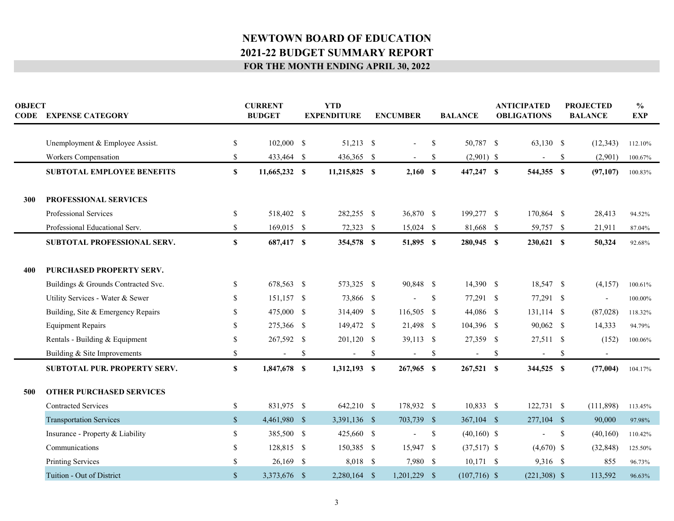| <b>OBJECT</b> | <b>CODE EXPENSE CATEGORY</b>        |               | <b>CURRENT</b><br><b>BUDGET</b> |    | <b>YTD</b><br><b>EXPENDITURE</b> |    | <b>ENCUMBER</b>          |              | <b>BALANCE</b> | <b>ANTICIPATED</b><br><b>OBLIGATIONS</b> |                | <b>PROJECTED</b><br><b>BALANCE</b> |                          | $\frac{6}{6}$<br><b>EXP</b> |
|---------------|-------------------------------------|---------------|---------------------------------|----|----------------------------------|----|--------------------------|--------------|----------------|------------------------------------------|----------------|------------------------------------|--------------------------|-----------------------------|
|               | Unemployment & Employee Assist.     | $\mathbb S$   | 102,000 \$                      |    | 51,213 \$                        |    | $\overline{a}$           | \$           | 50,787 \$      |                                          | 63,130 \$      |                                    | (12, 343)                | 112.10%                     |
|               | Workers Compensation                | \$            | 433,464 \$                      |    | 436,365 \$                       |    |                          | \$           | $(2,901)$ \$   |                                          |                | \$                                 | (2,901)                  | 100.67%                     |
|               | <b>SUBTOTAL EMPLOYEE BENEFITS</b>   | \$            | 11,665,232 \$                   |    | 11,215,825 \$                    |    | 2,160S                   |              | 447,247 \$     |                                          | 544,355 \$     |                                    | (97, 107)                | 100.83%                     |
| 300           | PROFESSIONAL SERVICES               |               |                                 |    |                                  |    |                          |              |                |                                          |                |                                    |                          |                             |
|               | Professional Services               | <sup>\$</sup> | 518,402 \$                      |    | 282,255 \$                       |    | 36,870 \$                |              | 199,277 \$     |                                          | 170,864 \$     |                                    | 28,413                   | 94.52%                      |
|               | Professional Educational Serv.      | \$            | 169,015 \$                      |    | 72,323 \$                        |    | $15,024$ \$              |              | 81,668 \$      |                                          | 59,757 \$      |                                    | 21,911                   | 87.04%                      |
|               | SUBTOTAL PROFESSIONAL SERV.         | $\mathbf S$   | 687,417 \$                      |    | 354,578 \$                       |    | 51,895 \$                |              | 280,945 \$     |                                          | 230,621 \$     |                                    | 50,324                   | 92.68%                      |
|               |                                     |               |                                 |    |                                  |    |                          |              |                |                                          |                |                                    |                          |                             |
| 400           | <b>PURCHASED PROPERTY SERV.</b>     |               |                                 |    |                                  |    |                          |              |                |                                          |                |                                    |                          |                             |
|               | Buildings & Grounds Contracted Svc. | <sup>\$</sup> | 678,563 \$                      |    | 573,325 \$                       |    | 90,848 \$                |              | 14,390 \$      |                                          | 18,547 \$      |                                    | (4,157)                  | 100.61%                     |
|               | Utility Services - Water & Sewer    | S             | 151,157 \$                      |    | 73,866 \$                        |    |                          | \$           | 77,291 \$      |                                          | 77,291 \$      |                                    | $\overline{\phantom{a}}$ | 100.00%                     |
|               | Building, Site & Emergency Repairs  | <sup>\$</sup> | 475,000 \$                      |    | 314,409 \$                       |    | 116,505 \$               |              | 44,086 \$      |                                          | $131,114$ \$   |                                    | (87,028)                 | 118.32%                     |
|               | <b>Equipment Repairs</b>            | \$.           | 275,366 \$                      |    | 149,472 \$                       |    | 21,498 \$                |              | 104,396 \$     |                                          | 90,062 \$      |                                    | 14,333                   | 94.79%                      |
|               | Rentals - Building & Equipment      | \$            | 267,592 \$                      |    | 201,120 \$                       |    | 39,113 \$                |              | 27,359 \$      |                                          | 27,511 \$      |                                    | (152)                    | 100.06%                     |
|               | Building & Site Improvements        | \$            | $\overline{\phantom{a}}$        | \$ | $\overline{\phantom{a}}$         | -S | $\sim$                   | \$           | $\blacksquare$ | \$                                       | $\blacksquare$ | $\boldsymbol{\mathsf{S}}$          | $\sim$                   |                             |
|               | <b>SUBTOTAL PUR. PROPERTY SERV.</b> | $\mathbf{s}$  | 1,847,678 \$                    |    | 1,312,193 \$                     |    | 267,965 \$               |              | 267,521 \$     |                                          | 344,525 \$     |                                    | (77,004)                 | 104.17%                     |
|               |                                     |               |                                 |    |                                  |    |                          |              |                |                                          |                |                                    |                          |                             |
| 500           | <b>OTHER PURCHASED SERVICES</b>     |               |                                 |    |                                  |    |                          |              |                |                                          |                |                                    |                          |                             |
|               | <b>Contracted Services</b>          | $\mathbb S$   | 831,975 \$                      |    | 642,210 \$                       |    | 178,932 \$               |              | 10,833 \$      |                                          | 122,731 \$     |                                    | (111, 898)               | 113.45%                     |
|               | <b>Transportation Services</b>      | $\mathcal{S}$ | 4,461,980 \$                    |    | 3,391,136 \$                     |    | 703,739 \$               |              | 367,104 \$     |                                          | 277,104 \$     |                                    | 90,000                   | 97.98%                      |
|               | Insurance - Property & Liability    | \$            | 385,500 \$                      |    | 425,660 \$                       |    | $\overline{\phantom{a}}$ | $\mathbb{S}$ | $(40,160)$ \$  |                                          |                | \$                                 | (40, 160)                | 110.42%                     |
|               | Communications                      | $\mathbf S$   | 128,815 \$                      |    | 150,385 \$                       |    | 15,947 \$                |              | $(37,517)$ \$  |                                          | $(4,670)$ \$   |                                    | (32, 848)                | 125.50%                     |
|               | <b>Printing Services</b>            | $\mathbf S$   | $26,169$ \$                     |    | 8,018 \$                         |    | 7,980 \$                 |              | $10,171$ \$    |                                          | 9,316 \$       |                                    | 855                      | 96.73%                      |
|               | Tuition - Out of District           | $\mathbf S$   | 3,373,676 \$                    |    | $2,280,164$ \$                   |    | $1,201,229$ \$           |              | $(107,716)$ \$ |                                          | $(221,308)$ \$ |                                    | 113,592                  | 96.63%                      |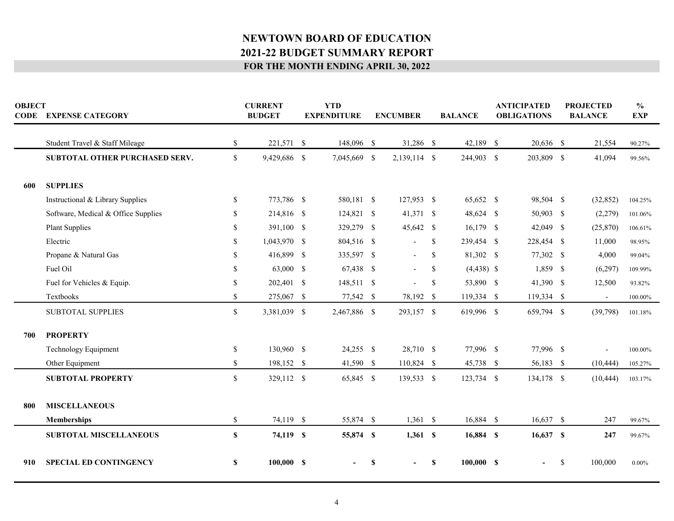| <b>OBJECT</b><br><b>CODE EXPENSE CATEGORY</b> |                                     |               | <b>CURRENT</b><br><b>BUDGET</b> |  | <b>YTD</b><br><b>EXPENDITURE</b> |   | <b>ENCUMBER</b>          |               | <b>BALANCE</b> | <b>ANTICIPATED</b><br><b>OBLIGATIONS</b> |             | <b>PROJECTED</b><br><b>BALANCE</b> |                          | $\frac{6}{6}$<br><b>EXP</b> |  |
|-----------------------------------------------|-------------------------------------|---------------|---------------------------------|--|----------------------------------|---|--------------------------|---------------|----------------|------------------------------------------|-------------|------------------------------------|--------------------------|-----------------------------|--|
|                                               | Student Travel & Staff Mileage      | \$            | 221,571 \$                      |  | 148,096 \$                       |   | 31,286 \$                |               | 42,189 \$      |                                          | 20,636 \$   |                                    | 21,554                   | 90.27%                      |  |
|                                               | SUBTOTAL OTHER PURCHASED SERV.      | $\mathbb{S}$  | 9,429,686 \$                    |  | 7,045,669 \$                     |   | 2,139,114 \$             |               | 244,903 \$     |                                          | 203,809 \$  |                                    | 41,094                   | 99.56%                      |  |
| 600                                           | <b>SUPPLIES</b>                     |               |                                 |  |                                  |   |                          |               |                |                                          |             |                                    |                          |                             |  |
|                                               | Instructional & Library Supplies    | <sup>\$</sup> | 773,786 \$                      |  | 580,181 \$                       |   | 127,953 \$               |               | 65,652 \$      |                                          | 98,504 \$   |                                    | (32, 852)                | 104.25%                     |  |
|                                               | Software, Medical & Office Supplies | \$.           | 214,816 \$                      |  | 124,821 \$                       |   | 41,371 \$                |               | 48,624 \$      |                                          | 50,903 \$   |                                    | (2,279)                  | 101.06%                     |  |
|                                               | <b>Plant Supplies</b>               | \$            | 391,100 \$                      |  | 329,279 \$                       |   | 45,642 \$                |               | $16,179$ \$    |                                          | 42,049 \$   |                                    | (25,870)                 | $106.61\%$                  |  |
|                                               | Electric                            | \$.           | 1,043,970 \$                    |  | 804,516 \$                       |   | $\overline{\phantom{a}}$ | S.            | 239,454 \$     |                                          | 228,454 \$  |                                    | 11,000                   | 98.95%                      |  |
|                                               | Propane & Natural Gas               | \$.           | 416,899 \$                      |  | 335,597 \$                       |   | $\overline{\phantom{a}}$ | S.            | 81,302 \$      |                                          | 77,302 \$   |                                    | 4,000                    | 99.04%                      |  |
|                                               | Fuel Oil                            | \$.           | 63,000 \$                       |  | 67,438 \$                        |   | $\overline{\phantom{0}}$ | <sup>\$</sup> | $(4,438)$ \$   |                                          | 1,859 \$    |                                    | (6,297)                  | 109.99%                     |  |
|                                               | Fuel for Vehicles & Equip.          | \$.           | 202,401 \$                      |  | 148,511 \$                       |   |                          | $\mathbb{S}$  | 53,890 \$      |                                          | 41,390 \$   |                                    | 12,500                   | 93.82%                      |  |
|                                               | Textbooks                           | \$            | 275,067 \$                      |  | 77,542 \$                        |   | 78,192 \$                |               | 119,334 \$     |                                          | 119,334 \$  |                                    | $\overline{\phantom{a}}$ | 100.00%                     |  |
|                                               | <b>SUBTOTAL SUPPLIES</b>            | \$            | 3,381,039 \$                    |  | 2,467,886 \$                     |   | 293,157 \$               |               | 619,996 \$     |                                          | 659,794 \$  |                                    | (39,798)                 | 101.18%                     |  |
| 700                                           | <b>PROPERTY</b>                     |               |                                 |  |                                  |   |                          |               |                |                                          |             |                                    |                          |                             |  |
|                                               | Technology Equipment                | $\mathbb{S}$  | 130,960 \$                      |  | $24,255$ \$                      |   | 28,710 \$                |               | 77,996 \$      |                                          | 77,996 \$   |                                    |                          | 100.00%                     |  |
|                                               | Other Equipment                     | \$            | 198,152 \$                      |  | 41,590 \$                        |   | 110,824 \$               |               | 45,738 \$      |                                          | 56,183 \$   |                                    | (10, 444)                | 105.27%                     |  |
|                                               | <b>SUBTOTAL PROPERTY</b>            | $\mathbb{S}$  | 329,112 \$                      |  | 65,845 \$                        |   | 139,533 \$               |               | 123,734 \$     |                                          | 134,178 \$  |                                    | (10, 444)                | 103.17%                     |  |
|                                               |                                     |               |                                 |  |                                  |   |                          |               |                |                                          |             |                                    |                          |                             |  |
| 800                                           | <b>MISCELLANEOUS</b>                |               |                                 |  |                                  |   |                          |               |                |                                          |             |                                    |                          |                             |  |
|                                               | Memberships                         | $\mathbb{S}$  | 74,119 \$                       |  | 55,874 \$                        |   | $1,361$ \$               |               | 16,884 \$      |                                          | 16,637 \$   |                                    | 247                      | 99.67%                      |  |
|                                               | <b>SUBTOTAL MISCELLANEOUS</b>       | $\mathbf S$   | 74,119 \$                       |  | 55,874 \$                        |   | $1,361$ \$               |               | 16,884 \$      |                                          | $16,637$ \$ |                                    | 247                      | 99.67%                      |  |
| 910                                           | <b>SPECIAL ED CONTINGENCY</b>       | \$            | 100,000 S                       |  |                                  | S | $\sim$                   | \$            | 100,000 S      |                                          |             | \$                                 | 100,000                  | $0.00\%$                    |  |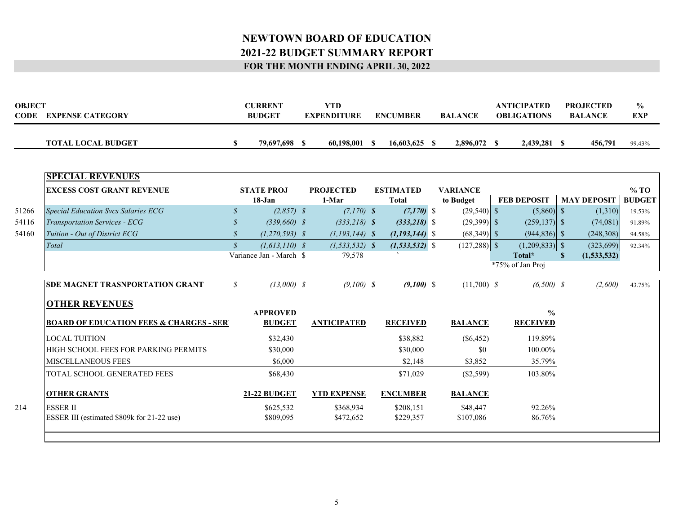| <b>OBJECT</b><br><b>CODE</b><br><b>EXPENSE CATEGORY</b> |  | <b>CURRENT</b><br><b>BUDGET</b> | TD?<br><b>EXPENDITURE</b> | <b>ENCUMBER</b> | <b>BALANCE</b> |           | <b>ANTICIPATED</b><br><b>OBLIGATIONS</b> |           | <b>PROJECTED</b><br><b>BALANCE</b> | $\frac{0}{0}$<br><b>EXP</b> |
|---------------------------------------------------------|--|---------------------------------|---------------------------|-----------------|----------------|-----------|------------------------------------------|-----------|------------------------------------|-----------------------------|
| <b>TOTAL LOCAL BUDGET</b>                               |  | 79.697.698                      | 60.198.001                | 16,603,625      |                | 2,896,072 |                                          | 2,439,281 | 456,791                            | 99.43%                      |

| <b>EXCESS COST GRANT REVENUE</b>                    |               | <b>STATE PROJ</b><br>18-Jan | <b>PROJECTED</b><br>1-Mar |                    | <b>ESTIMATED</b><br><b>Total</b> | <b>VARIANCE</b><br>to Budget | <b>FEB DEPOSIT</b> | <b>MAY DEPOSIT</b> | $%$ TO<br><b>BUDGET</b> |
|-----------------------------------------------------|---------------|-----------------------------|---------------------------|--------------------|----------------------------------|------------------------------|--------------------|--------------------|-------------------------|
| <b>Special Education Svcs Salaries ECG</b>          | $\mathcal{S}$ | $(2,857)$ \$                |                           | $(7,170)$ \$       | $(7,170)$ \$                     | $(29,540)$ \$                | $(5,860)$ \$       | (1,310)            | 19.53%                  |
| <b>Transportation Services - ECG</b>                |               | $(339,660)$ \$              |                           | $(333,218)$ \$     | $(333,218)$ \$                   | $(29,399)$ \$                | $(259, 137)$ \$    | (74,081)           | 91.89%                  |
| Tuition - Out of District ECG                       |               | $(1,270,593)$ \$            |                           | $(1, 193, 144)$ \$ | $(1,193,144)$ \$                 | $(68,349)$ \$                | $(944, 836)$ \$    | (248,308)          | 94.58%                  |
| Total                                               | $\mathcal{S}$ | $(1, 613, 110)$ \$          |                           | $(1, 533, 532)$ \$ | $(1, 533, 532)$ \$               | $(127,288)$ \$               | $(1,209,833)$ \$   | (323, 699)         | 92.34%                  |
|                                                     |               | Variance Jan - March \$     |                           | 79,578             |                                  |                              | Total*             | (1,533,532)        |                         |
|                                                     |               |                             |                           |                    |                                  |                              | *75% of Jan Proj   |                    |                         |
| <b>ISDE MAGNET TRASNPORTATION GRANT</b>             | $\mathcal{S}$ | $(13,000)$ \$               |                           | $(9,100)$ \$       | $(9,100)$ \$                     | $(11,700)$ \$                | $(6,500)$ \$       | (2,600)            | 43.75%                  |
| <b>OTHER REVENUES</b>                               |               |                             |                           |                    |                                  |                              |                    |                    |                         |
|                                                     |               | <b>APPROVED</b>             |                           |                    |                                  |                              | $\frac{6}{6}$      |                    |                         |
| <b>BOARD OF EDUCATION FEES &amp; CHARGES - SERY</b> |               | <b>BUDGET</b>               |                           | <b>ANTICIPATED</b> | <b>RECEIVED</b>                  | <b>BALANCE</b>               | <b>RECEIVED</b>    |                    |                         |
| <b>LOCAL TUITION</b>                                |               | \$32,430                    |                           |                    | \$38,882                         | $(\$6,452)$                  | 119.89%            |                    |                         |
| HIGH SCHOOL FEES FOR PARKING PERMITS                |               | \$30,000                    |                           |                    | \$30,000                         | \$0                          | 100.00%            |                    |                         |
| <b>MISCELLANEOUS FEES</b>                           |               | \$6,000                     |                           |                    | \$2,148                          | \$3,852                      | 35.79%             |                    |                         |
| <b>TOTAL SCHOOL GENERATED FEES</b>                  |               | \$68,430                    |                           |                    | \$71,029                         | $(\$2,599)$                  | 103.80%            |                    |                         |
| <b>OTHER GRANTS</b>                                 |               | <b>21-22 BUDGET</b>         |                           | <b>YTD EXPENSE</b> | <b>ENCUMBER</b>                  | <b>BALANCE</b>               |                    |                    |                         |
| <b>ESSER II</b>                                     |               | \$625,532                   |                           | \$368,934          | \$208,151                        | \$48,447                     | 92.26%             |                    |                         |
| ESSER III (estimated \$809k for 21-22 use)          |               | \$809,095                   |                           | \$472,652          | \$229,357                        | \$107,086                    | 86.76%             |                    |                         |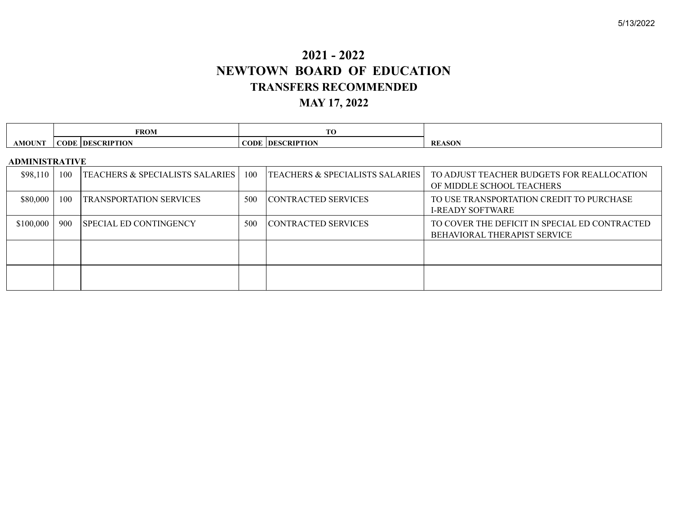# **2021 - 2022 NEWTOWN BOARD OF EDUCATION TRANSFERS RECOMMENDED MAY 17, 2022**

|                       |     | <b>FROM</b>                                |     | TO                                         |                                                                                      |
|-----------------------|-----|--------------------------------------------|-----|--------------------------------------------|--------------------------------------------------------------------------------------|
| <b>AMOUNT</b>         |     | <b>CODE DESCRIPTION</b>                    |     | <b>CODE DESCRIPTION</b>                    | <b>REASON</b>                                                                        |
| <b>ADMINISTRATIVE</b> |     |                                            |     |                                            |                                                                                      |
| \$98,110              | 100 | <b>TEACHERS &amp; SPECIALISTS SALARIES</b> | 100 | <b>TEACHERS &amp; SPECIALISTS SALARIES</b> | TO ADJUST TEACHER BUDGETS FOR REALLOCATION<br>OF MIDDLE SCHOOL TEACHERS              |
| \$80,000              | 100 | <b>TRANSPORTATION SERVICES</b>             | 500 | <b>CONTRACTED SERVICES</b>                 | TO USE TRANSPORTATION CREDIT TO PURCHASE<br><b>I-READY SOFTWARE</b>                  |
| \$100,000             | 900 | <b>SPECIAL ED CONTINGENCY</b>              | 500 | CONTRACTED SERVICES                        | TO COVER THE DEFICIT IN SPECIAL ED CONTRACTED<br><b>BEHAVIORAL THERAPIST SERVICE</b> |
|                       |     |                                            |     |                                            |                                                                                      |
|                       |     |                                            |     |                                            |                                                                                      |